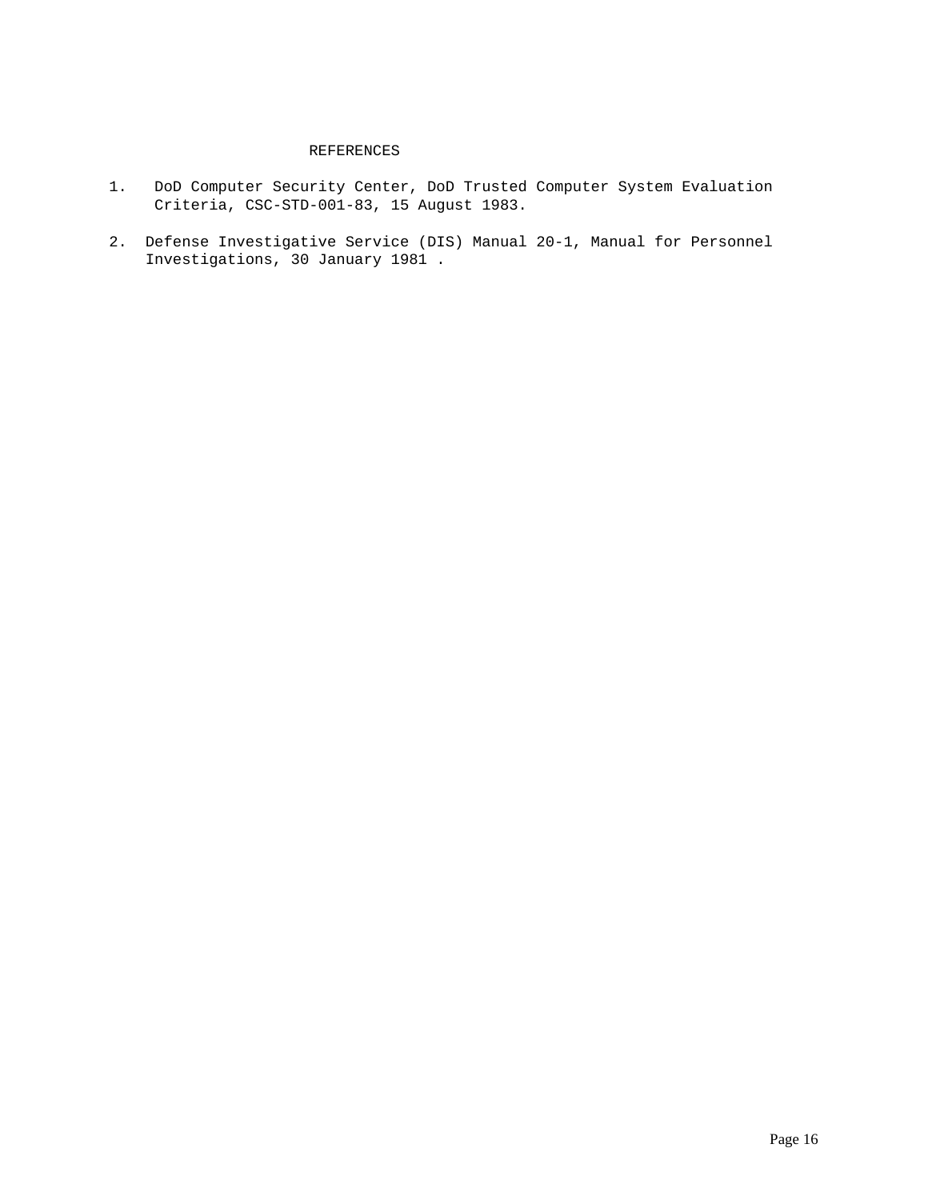## REFERENCES

- 1. DoD Computer Security Center, DoD Trusted Computer System Evaluation Criteria, CSC-STD-001-83, 15 August 1983.
- 2. Defense Investigative Service (DIS) Manual 20-1, Manual for Personnel Investigations, 30 January 1981 .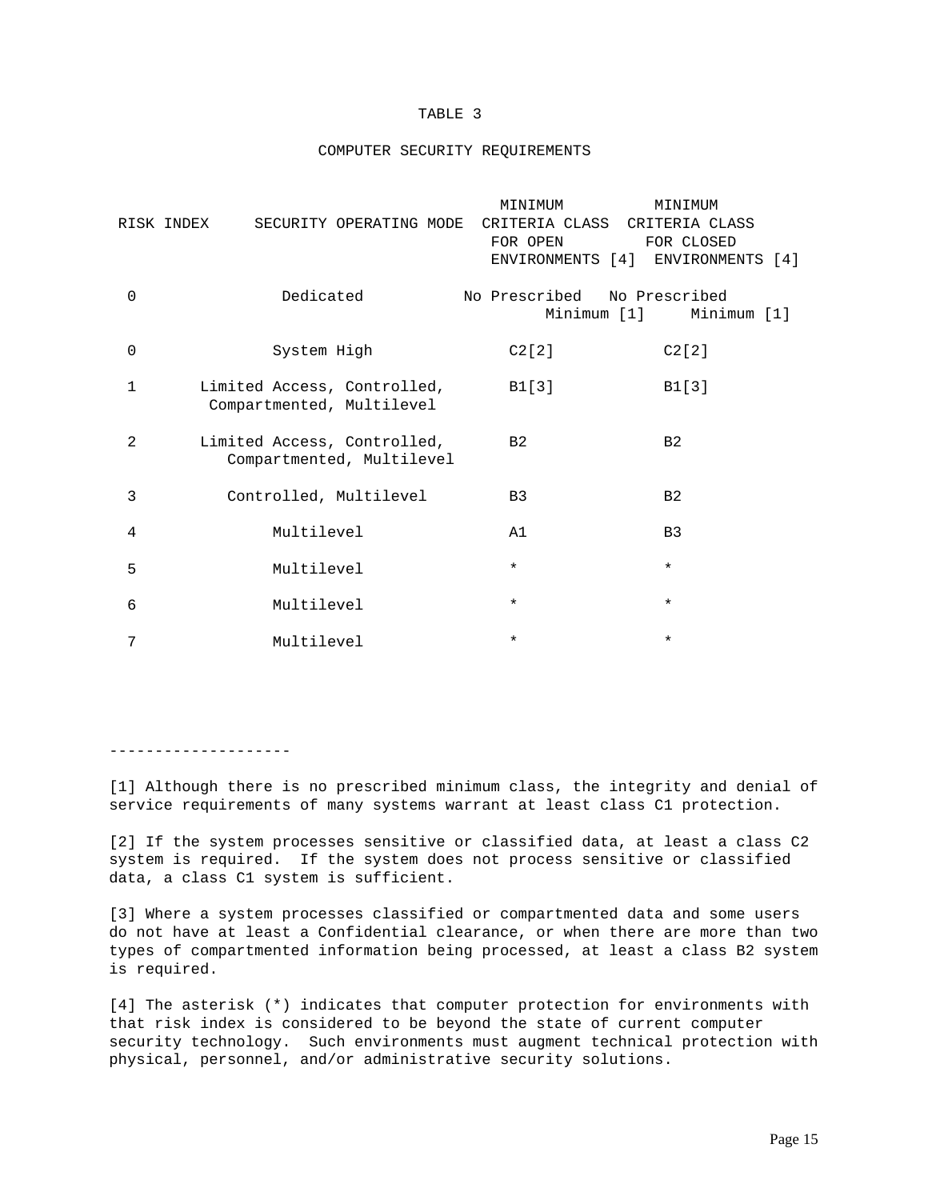#### TABLE 3

#### COMPUTER SECURITY REQUIREMENTS

|                | SECURITY OPERATING MODE<br>RISK INDEX                    | MINIMUM<br>FOR OPEN | MINIMUM<br>CRITERIA CLASS CRITERIA CLASS<br>FOR CLOSED<br>ENVIRONMENTS [4] ENVIRONMENTS [4] |
|----------------|----------------------------------------------------------|---------------------|---------------------------------------------------------------------------------------------|
| $\mathbf 0$    | Dedicated                                                | No Prescribed       | No Prescribed<br>Minimum [1] Minimum [1]                                                    |
| 0              | System High                                              | C2[2]               | C2[2]                                                                                       |
| $\mathbf{1}$   | Limited Access, Controlled,<br>Compartmented, Multilevel | B1[3]               | B1[3]                                                                                       |
| $\overline{2}$ | Limited Access, Controlled,<br>Compartmented, Multilevel | B <sub>2</sub>      | B <sub>2</sub>                                                                              |
| 3              | Controlled, Multilevel                                   | B <sub>3</sub>      | B <sub>2</sub>                                                                              |
| 4              | Multilevel                                               | A1                  | B <sub>3</sub>                                                                              |
| 5              | Multilevel                                               | $\star$             | $\star$                                                                                     |
| 6              | Multilevel                                               | $\star$             | $\star$                                                                                     |
| 7              | Multilevel                                               | $\star$             | $\star$                                                                                     |

--------------------

[1] Although there is no prescribed minimum class, the integrity and denial of service requirements of many systems warrant at least class C1 protection.

[2] If the system processes sensitive or classified data, at least a class C2 system is required. If the system does not process sensitive or classified data, a class C1 system is sufficient.

[3] Where a system processes classified or compartmented data and some users do not have at least a Confidential clearance, or when there are more than two types of compartmented information being processed, at least a class B2 system is required.

[4] The asterisk (\*) indicates that computer protection for environments with that risk index is considered to be beyond the state of current computer security technology. Such environments must augment technical protection with physical, personnel, and/or administrative security solutions.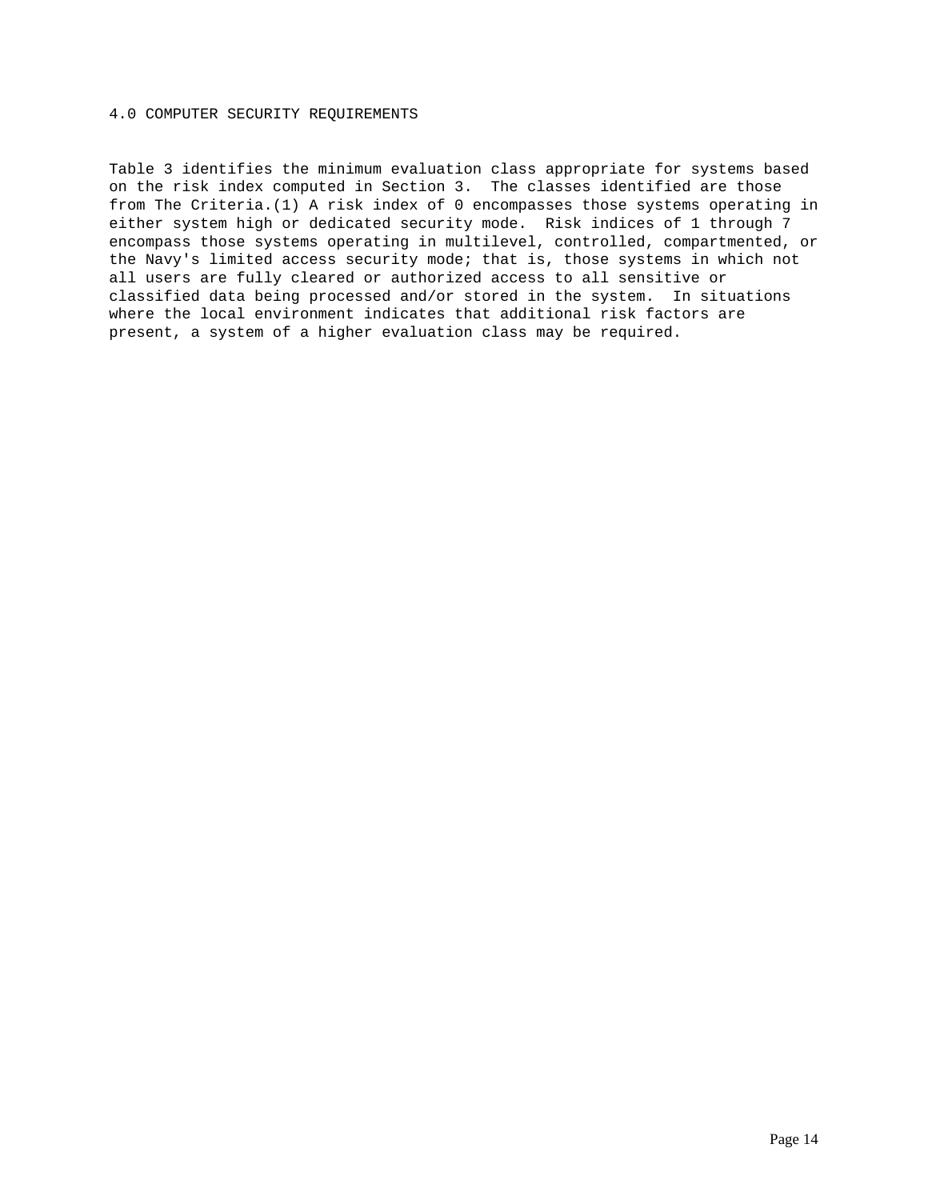#### 4.0 COMPUTER SECURITY REQUIREMENTS

Table 3 identifies the minimum evaluation class appropriate for systems based on the risk index computed in Section 3. The classes identified are those from The Criteria.(1) A risk index of 0 encompasses those systems operating in either system high or dedicated security mode. Risk indices of 1 through 7 encompass those systems operating in multilevel, controlled, compartmented, or the Navy's limited access security mode; that is, those systems in which not all users are fully cleared or authorized access to all sensitive or classified data being processed and/or stored in the system. In situations where the local environment indicates that additional risk factors are present, a system of a higher evaluation class may be required.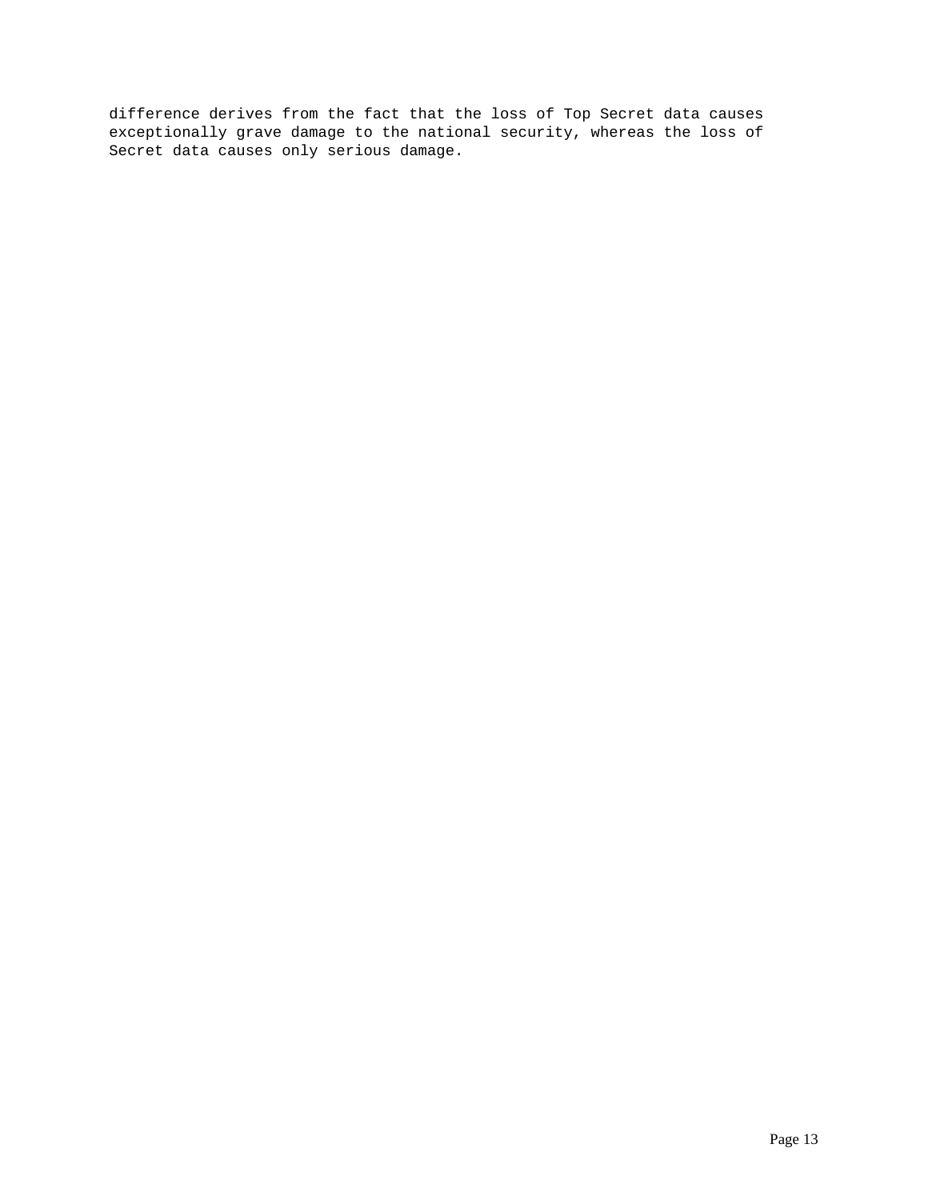difference derives from the fact that the loss of Top Secret data causes exceptionally grave damage to the national security, whereas the loss of Secret data causes only serious damage.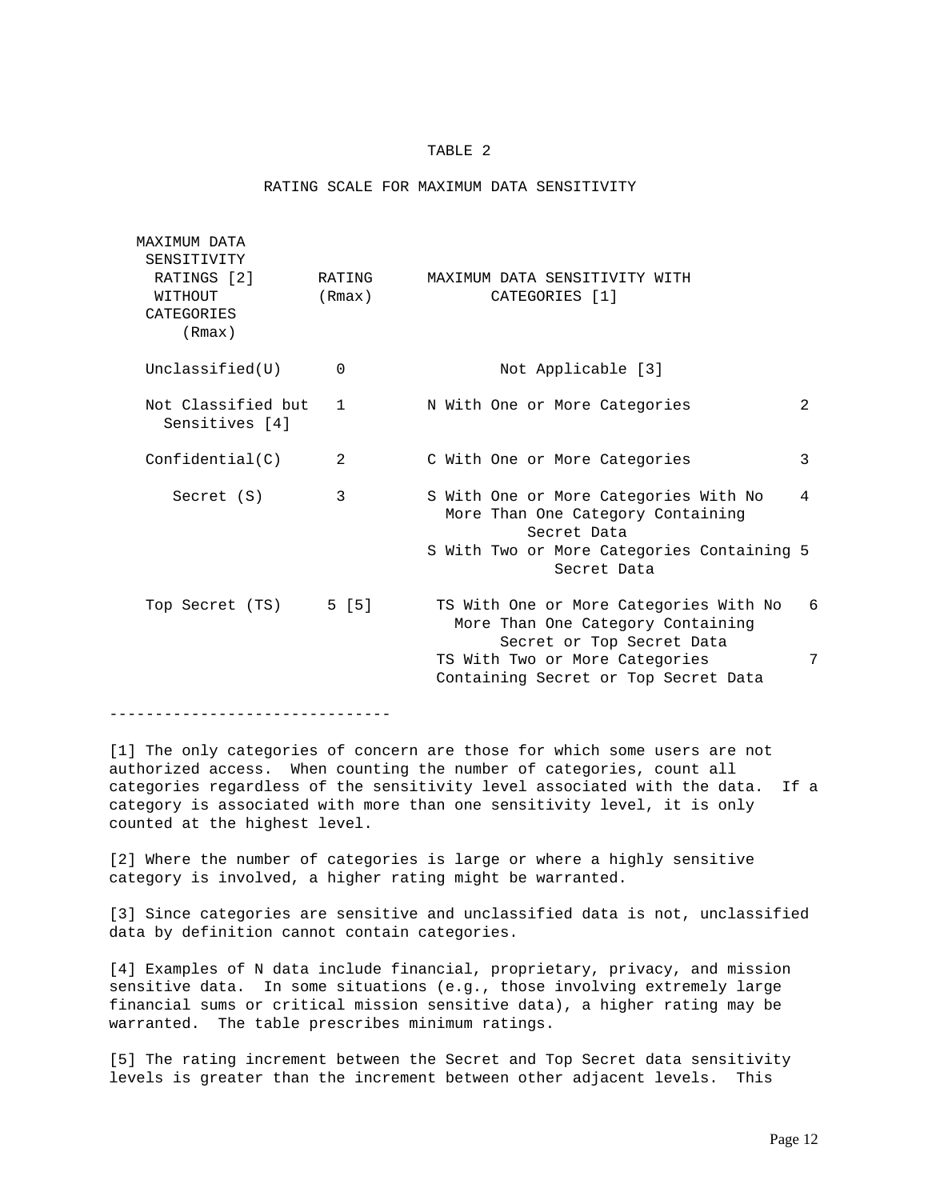## TABLE 2

#### RATING SCALE FOR MAXIMUM DATA SENSITIVITY

| MAXIMUM DATA<br>SENSITIVITY<br>RATINGS [2]<br>WITHOUT<br>CATEGORIES<br>(Rmax) | RATING<br>(Rmax) | MAXIMUM DATA SENSITIVITY WITH<br>CATEGORIES [1]                                                                                                       |                           |                |
|-------------------------------------------------------------------------------|------------------|-------------------------------------------------------------------------------------------------------------------------------------------------------|---------------------------|----------------|
| Unclassified(U)                                                               | $\mathbf 0$      | Not Applicable [3]                                                                                                                                    |                           |                |
| Not Classified but<br>Sensitives [4]                                          | $\mathbf{1}$     | N With One or More Categories                                                                                                                         |                           | $\mathfrak{D}$ |
| Confidential(C)                                                               | 2                | C With One or More Categories                                                                                                                         |                           | 3              |
| Secret (S)                                                                    | 3                | S With One or More Categories With No<br>More Than One Category Containing<br>Secret Data<br>S With Two or More Categories Containing 5               | Secret Data               | 4              |
| Top Secret (TS)                                                               | 5 [5]            | TS With One or More Categories With No<br>More Than One Category Containing<br>TS With Two or More Categories<br>Containing Secret or Top Secret Data | Secret or Top Secret Data | 6<br>7         |

-------------------------------

[1] The only categories of concern are those for which some users are not authorized access. When counting the number of categories, count all categories regardless of the sensitivity level associated with the data. If a category is associated with more than one sensitivity level, it is only counted at the highest level.

[2] Where the number of categories is large or where a highly sensitive category is involved, a higher rating might be warranted.

[3] Since categories are sensitive and unclassified data is not, unclassified data by definition cannot contain categories.

[4] Examples of N data include financial, proprietary, privacy, and mission sensitive data. In some situations (e.g., those involving extremely large financial sums or critical mission sensitive data), a higher rating may be warranted. The table prescribes minimum ratings.

[5] The rating increment between the Secret and Top Secret data sensitivity levels is greater than the increment between other adjacent levels. This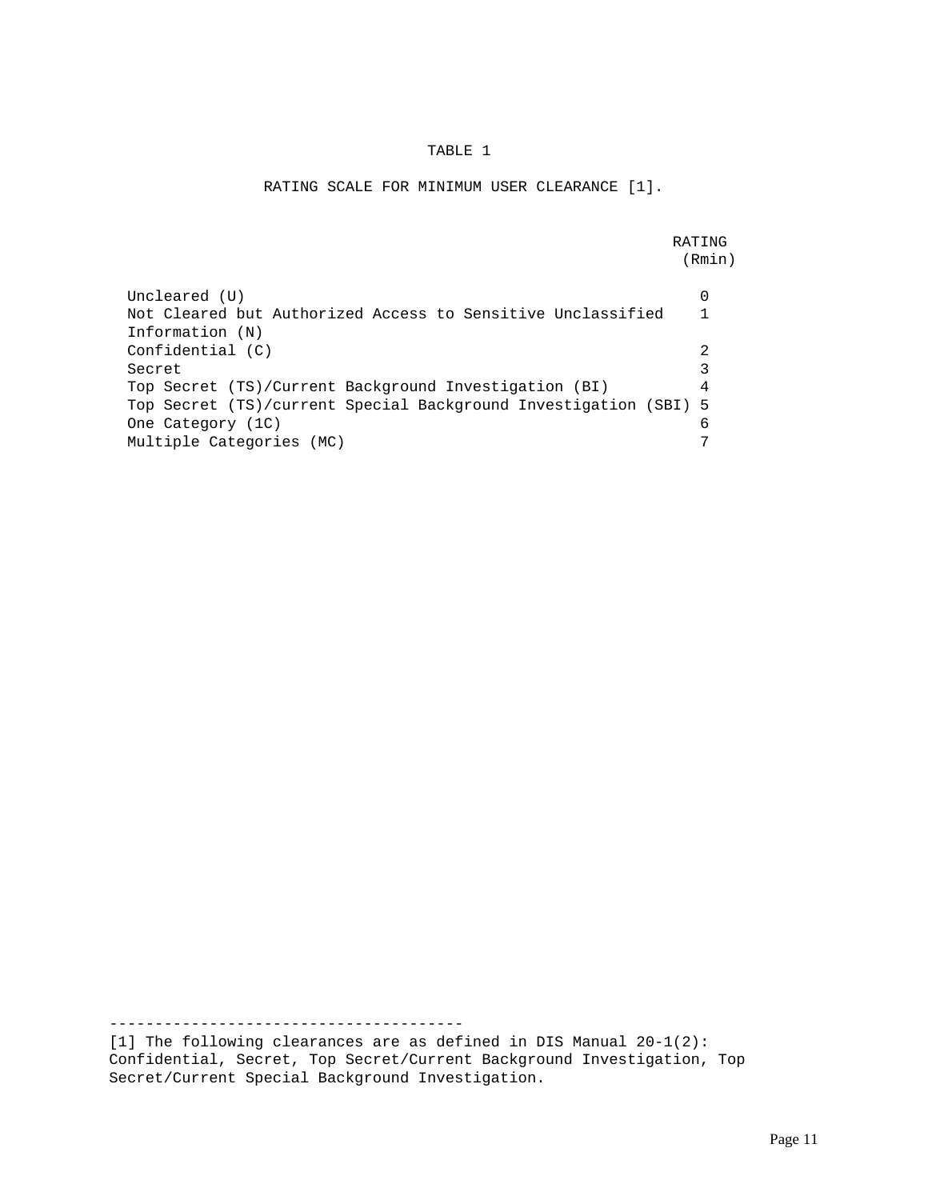## TABLE 1

## RATING SCALE FOR MINIMUM USER CLEARANCE [1].

**RATING** (Rmin)

| Uncleared (U)<br>Not Cleared but Authorized Access to Sensitive Unclassified<br>Information (N) |   |
|-------------------------------------------------------------------------------------------------|---|
| Confidental (C)                                                                                 |   |
| Secret                                                                                          |   |
| Top Secret (TS)/Current Background Investigation (BI)                                           | 4 |
| Top Secret (TS)/current Special Background Investigation (SBI) 5                                |   |
| One Category (1C)                                                                               |   |
| Multiple Categories (MC)                                                                        |   |

[1] The following clearances are as defined in DIS Manual 20-1(2): Confidential, Secret, Top Secret/Current Background Investigation, Top Secret/Current Special Background Investigation.

---------------------------------------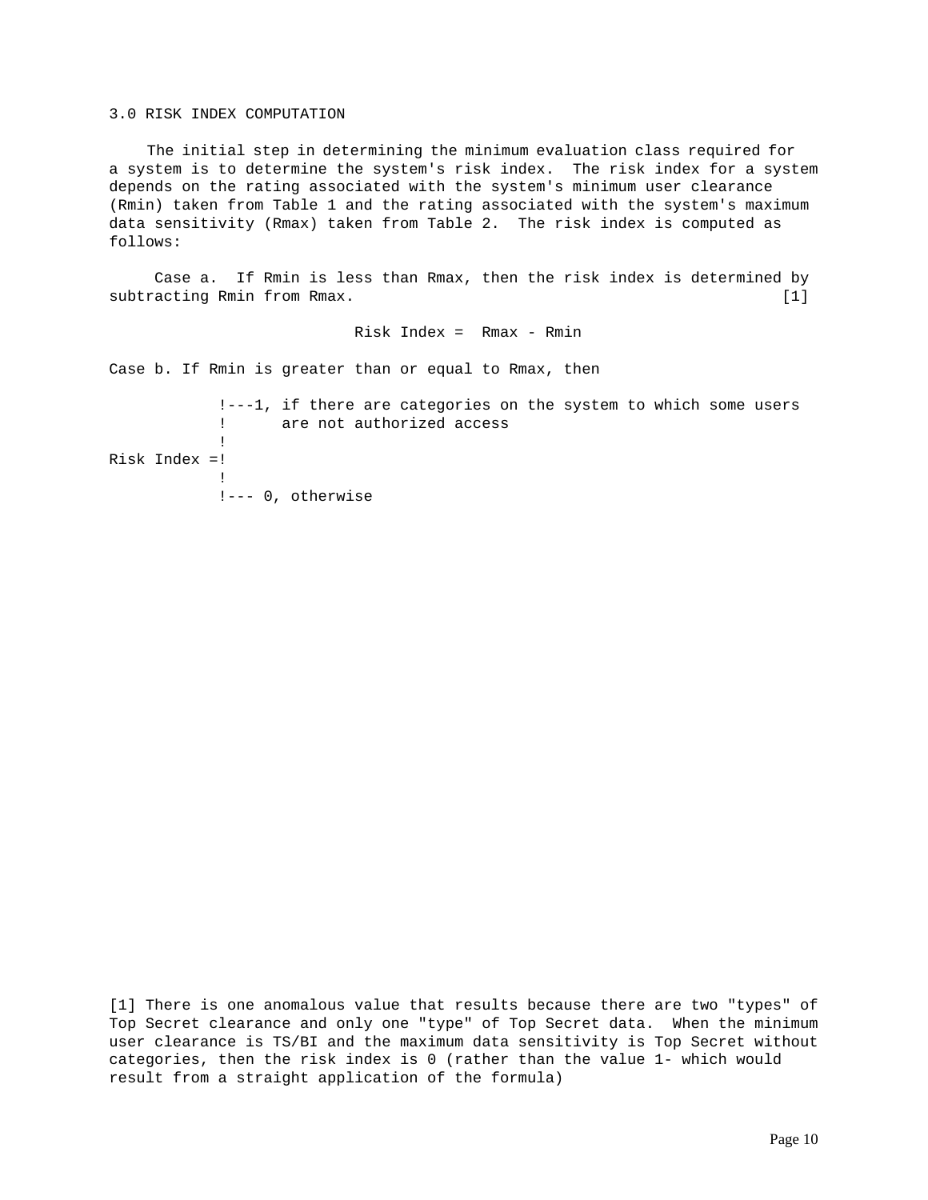#### 3.0 RISK INDEX COMPUTATION

 The initial step in determining the minimum evaluation class required for a system is to determine the system's risk index. The risk index for a system depends on the rating associated with the system's minimum user clearance (Rmin) taken from Table 1 and the rating associated with the system's maximum data sensitivity (Rmax) taken from Table 2. The risk index is computed as follows:

 Case a. If Rmin is less than Rmax, then the risk index is determined by subtracting Rmin from Rmax. [1]

Risk Index = Rmax - Rmin

Case b. If Rmin is greater than or equal to Rmax, then

```
 !---1, if there are categories on the system to which some users
             ! are not authorized access
1999 - Paul Corp.
Risk Index =!
1999 - Paul Corp.
             !--- 0, otherwise
```
[1] There is one anomalous value that results because there are two "types" of Top Secret clearance and only one "type" of Top Secret data. When the minimum user clearance is TS/BI and the maximum data sensitivity is Top Secret without categories, then the risk index is 0 (rather than the value 1- which would result from a straight application of the formula)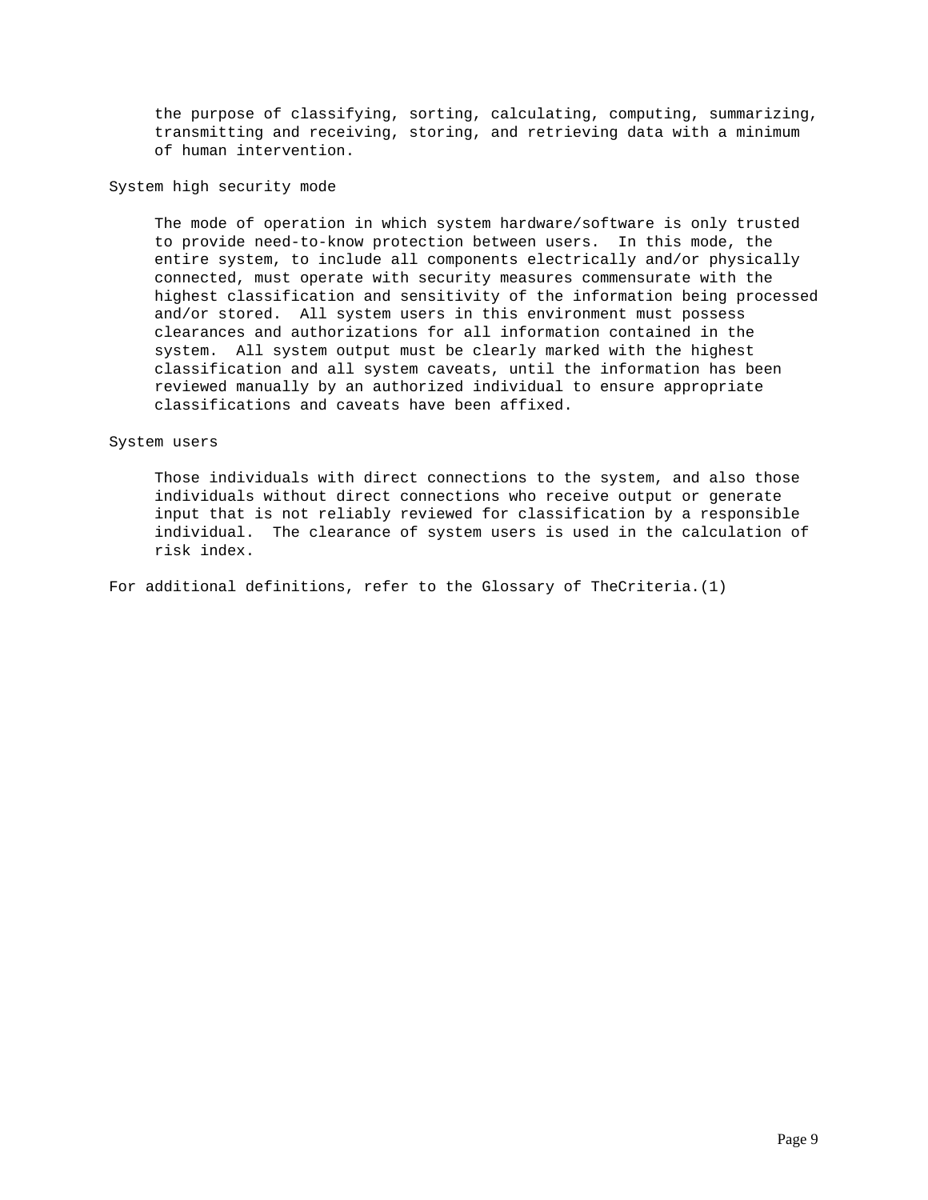the purpose of classifying, sorting, calculating, computing, summarizing, transmitting and receiving, storing, and retrieving data with a minimum of human intervention.

System high security mode

 The mode of operation in which system hardware/software is only trusted to provide need-to-know protection between users. In this mode, the entire system, to include all components electrically and/or physically connected, must operate with security measures commensurate with the highest classification and sensitivity of the information being processed and/or stored. All system users in this environment must possess clearances and authorizations for all information contained in the system. All system output must be clearly marked with the highest classification and all system caveats, until the information has been reviewed manually by an authorized individual to ensure appropriate classifications and caveats have been affixed.

## System users

 Those individuals with direct connections to the system, and also those individuals without direct connections who receive output or generate input that is not reliably reviewed for classification by a responsible individual. The clearance of system users is used in the calculation of risk index.

For additional definitions, refer to the Glossary of TheCriteria.(1)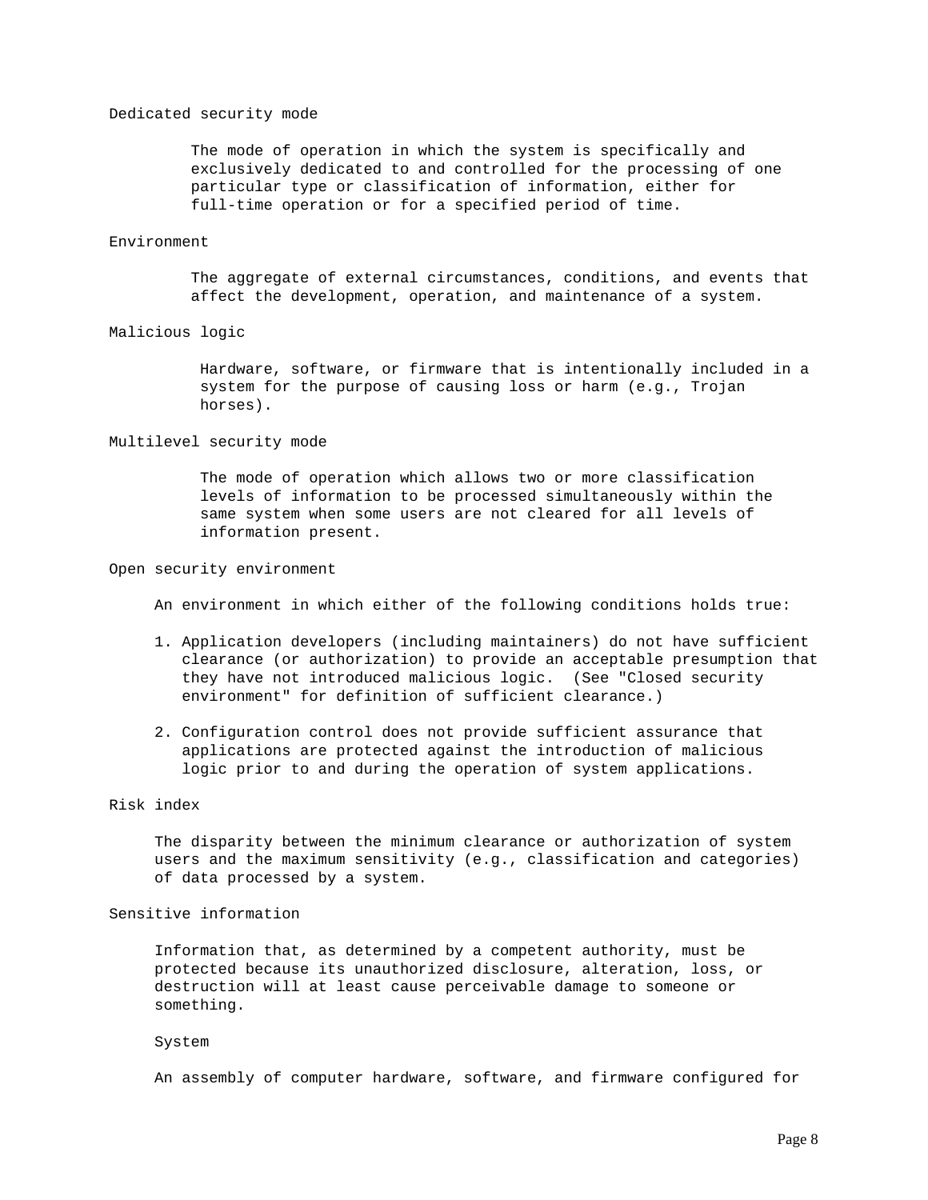### Dedicated security mode

 The mode of operation in which the system is specifically and exclusively dedicated to and controlled for the processing of one particular type or classification of information, either for full-time operation or for a specified period of time.

### Environment

 The aggregate of external circumstances, conditions, and events that affect the development, operation, and maintenance of a system.

#### Malicious logic

 Hardware, software, or firmware that is intentionally included in a system for the purpose of causing loss or harm (e.g., Trojan horses).

### Multilevel security mode

 The mode of operation which allows two or more classification levels of information to be processed simultaneously within the same system when some users are not cleared for all levels of information present.

### Open security environment

An environment in which either of the following conditions holds true:

- 1. Application developers (including maintainers) do not have sufficient clearance (or authorization) to provide an acceptable presumption that they have not introduced malicious logic. (See "Closed security environment" for definition of sufficient clearance.)
- 2. Configuration control does not provide sufficient assurance that applications are protected against the introduction of malicious logic prior to and during the operation of system applications.

#### Risk index

 The disparity between the minimum clearance or authorization of system users and the maximum sensitivity (e.g., classification and categories) of data processed by a system.

### Sensitive information

 Information that, as determined by a competent authority, must be protected because its unauthorized disclosure, alteration, loss, or destruction will at least cause perceivable damage to someone or something.

#### System

An assembly of computer hardware, software, and firmware configured for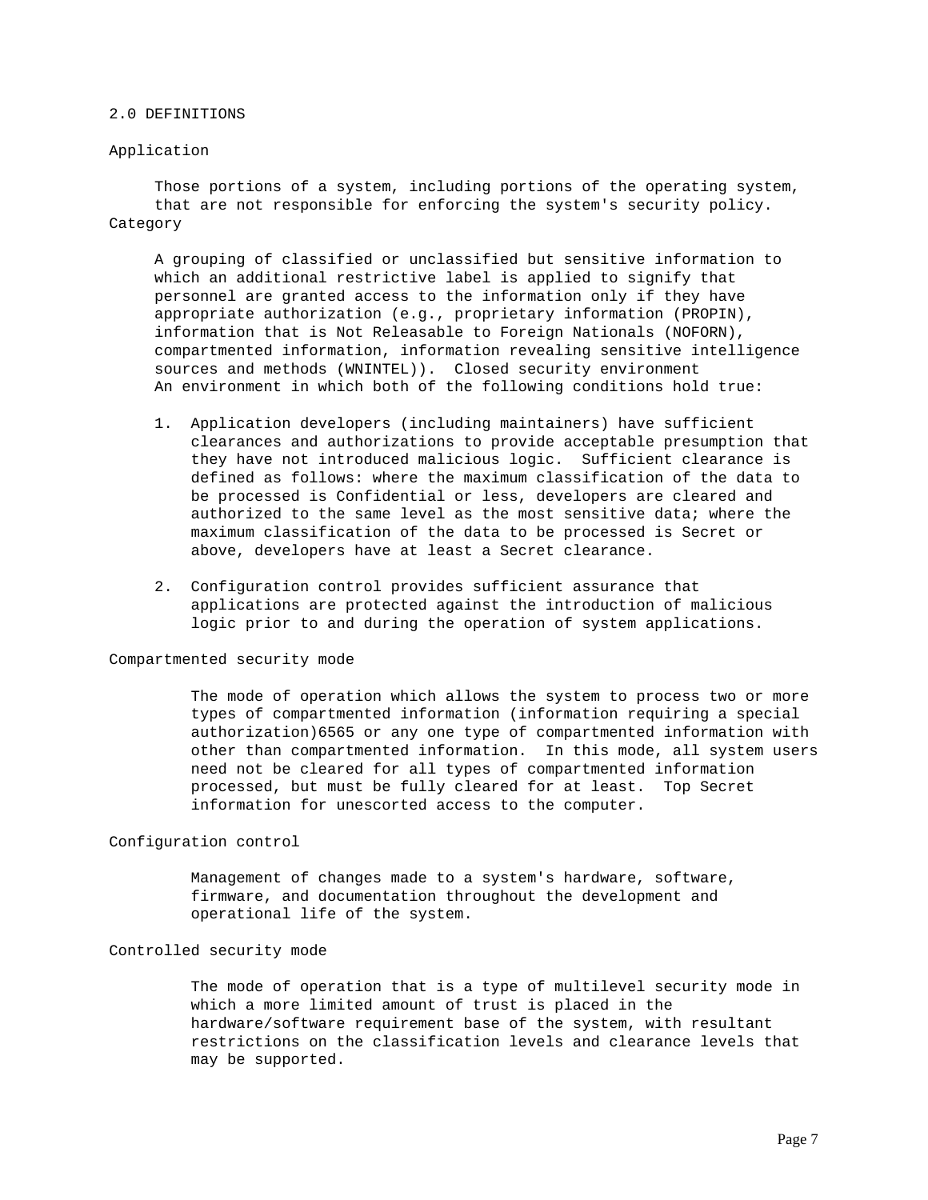#### 2.0 DEFINITIONS

#### Application

 Those portions of a system, including portions of the operating system, that are not responsible for enforcing the system's security policy. Category

 A grouping of classified or unclassified but sensitive information to which an additional restrictive label is applied to signify that personnel are granted access to the information only if they have appropriate authorization (e.g., proprietary information (PROPIN), information that is Not Releasable to Foreign Nationals (NOFORN), compartmented information, information revealing sensitive intelligence sources and methods (WNINTEL)). Closed security environment An environment in which both of the following conditions hold true:

- 1. Application developers (including maintainers) have sufficient clearances and authorizations to provide acceptable presumption that they have not introduced malicious logic. Sufficient clearance is defined as follows: where the maximum classification of the data to be processed is Confidential or less, developers are cleared and authorized to the same level as the most sensitive data; where the maximum classification of the data to be processed is Secret or above, developers have at least a Secret clearance.
- 2. Configuration control provides sufficient assurance that applications are protected against the introduction of malicious logic prior to and during the operation of system applications.

### Compartmented security mode

 The mode of operation which allows the system to process two or more types of compartmented information (information requiring a special authorization)6565 or any one type of compartmented information with other than compartmented information. In this mode, all system users need not be cleared for all types of compartmented information processed, but must be fully cleared for at least. Top Secret information for unescorted access to the computer.

#### Configuration control

 Management of changes made to a system's hardware, software, firmware, and documentation throughout the development and operational life of the system.

## Controlled security mode

 The mode of operation that is a type of multilevel security mode in which a more limited amount of trust is placed in the hardware/software requirement base of the system, with resultant restrictions on the classification levels and clearance levels that may be supported.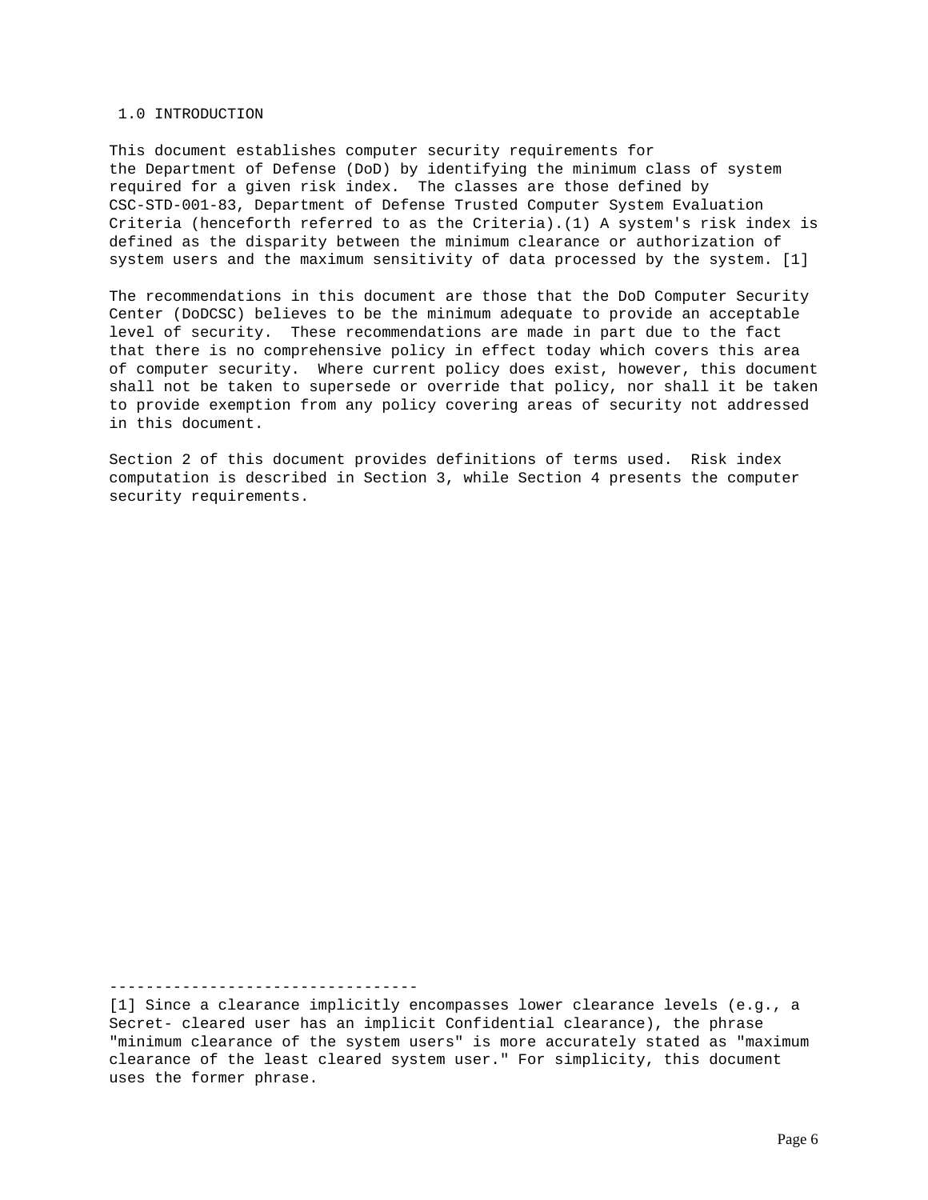#### 1.0 INTRODUCTION

This document establishes computer security requirements for the Department of Defense (DoD) by identifying the minimum class of system required for a given risk index. The classes are those defined by CSC-STD-001-83, Department of Defense Trusted Computer System Evaluation Criteria (henceforth referred to as the Criteria).(1) A system's risk index is defined as the disparity between the minimum clearance or authorization of system users and the maximum sensitivity of data processed by the system. [1]

The recommendations in this document are those that the DoD Computer Security Center (DoDCSC) believes to be the minimum adequate to provide an acceptable level of security. These recommendations are made in part due to the fact that there is no comprehensive policy in effect today which covers this area of computer security. Where current policy does exist, however, this document shall not be taken to supersede or override that policy, nor shall it be taken to provide exemption from any policy covering areas of security not addressed in this document.

Section 2 of this document provides definitions of terms used. Risk index computation is described in Section 3, while Section 4 presents the computer security requirements.

----------------------------------

[1] Since a clearance implicitly encompasses lower clearance levels (e.g., a Secret- cleared user has an implicit Confidential clearance), the phrase "minimum clearance of the system users" is more accurately stated as "maximum clearance of the least cleared system user." For simplicity, this document uses the former phrase.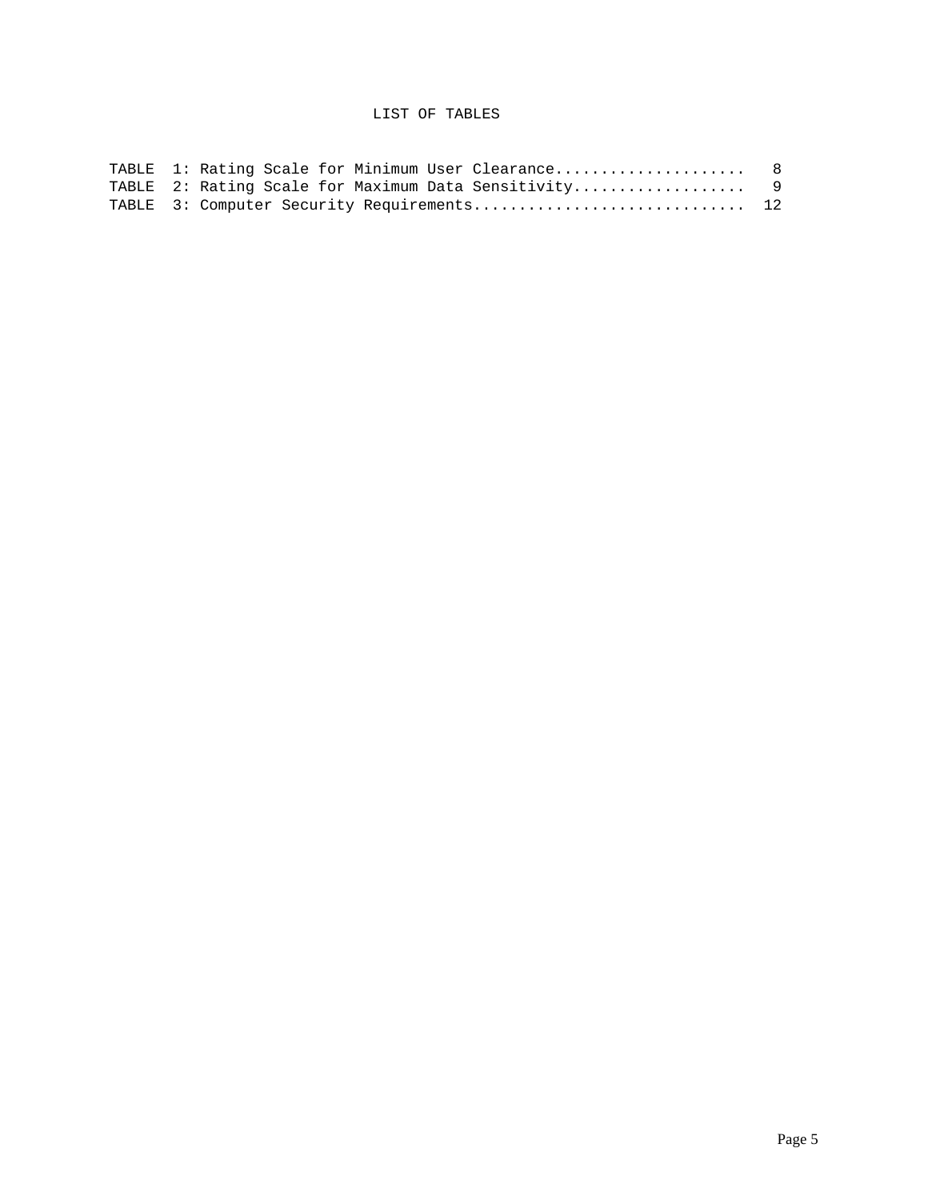## LIST OF TABLES

|  |  |  | TABLE 1: Rating Scale for Minimum User Clearance 8   |  |
|--|--|--|------------------------------------------------------|--|
|  |  |  | TABLE 2: Rating Scale for Maximum Data Sensitivity 9 |  |
|  |  |  | TABLE 3: Computer Security Requirements 12           |  |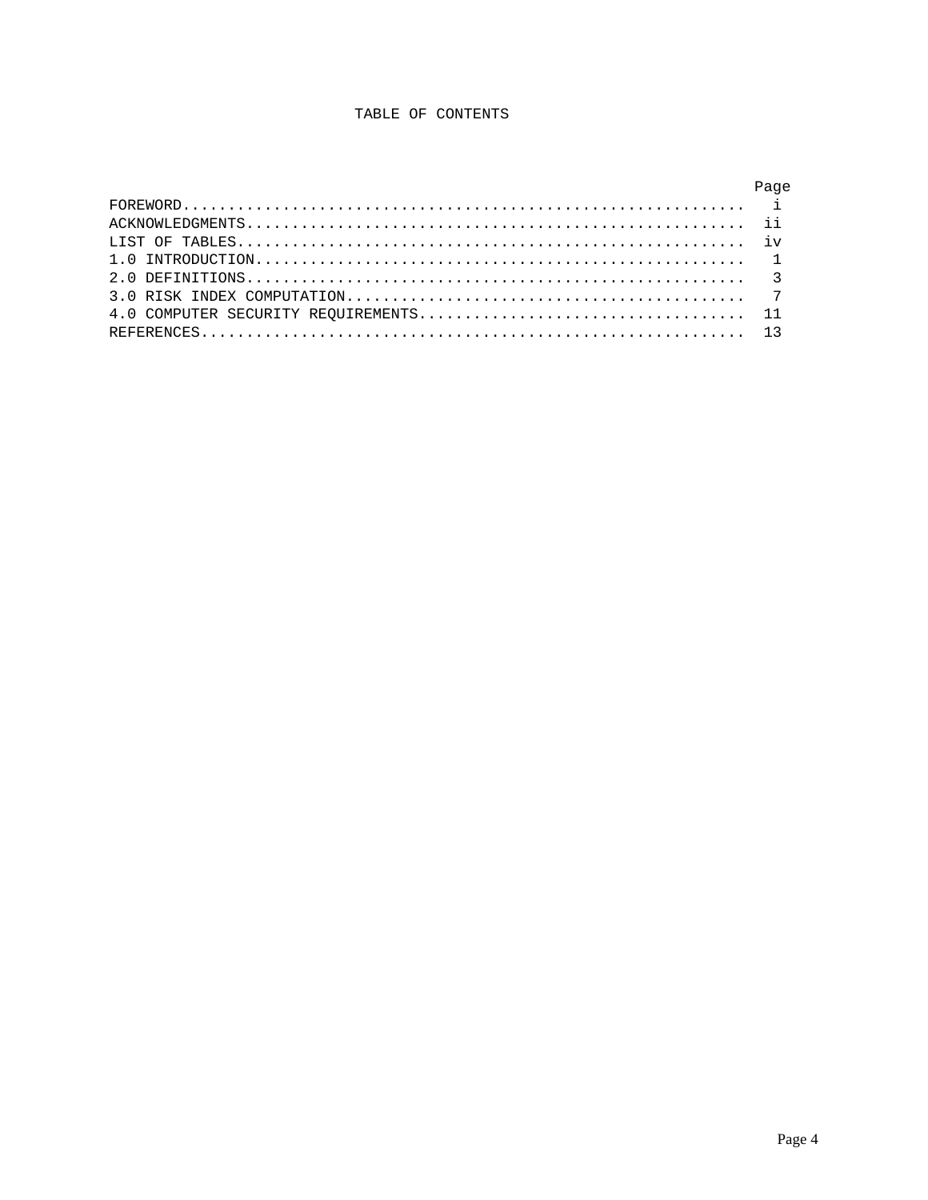## TABLE OF CONTENTS

| Page |
|------|
|      |
|      |
|      |
|      |
|      |
|      |
|      |
|      |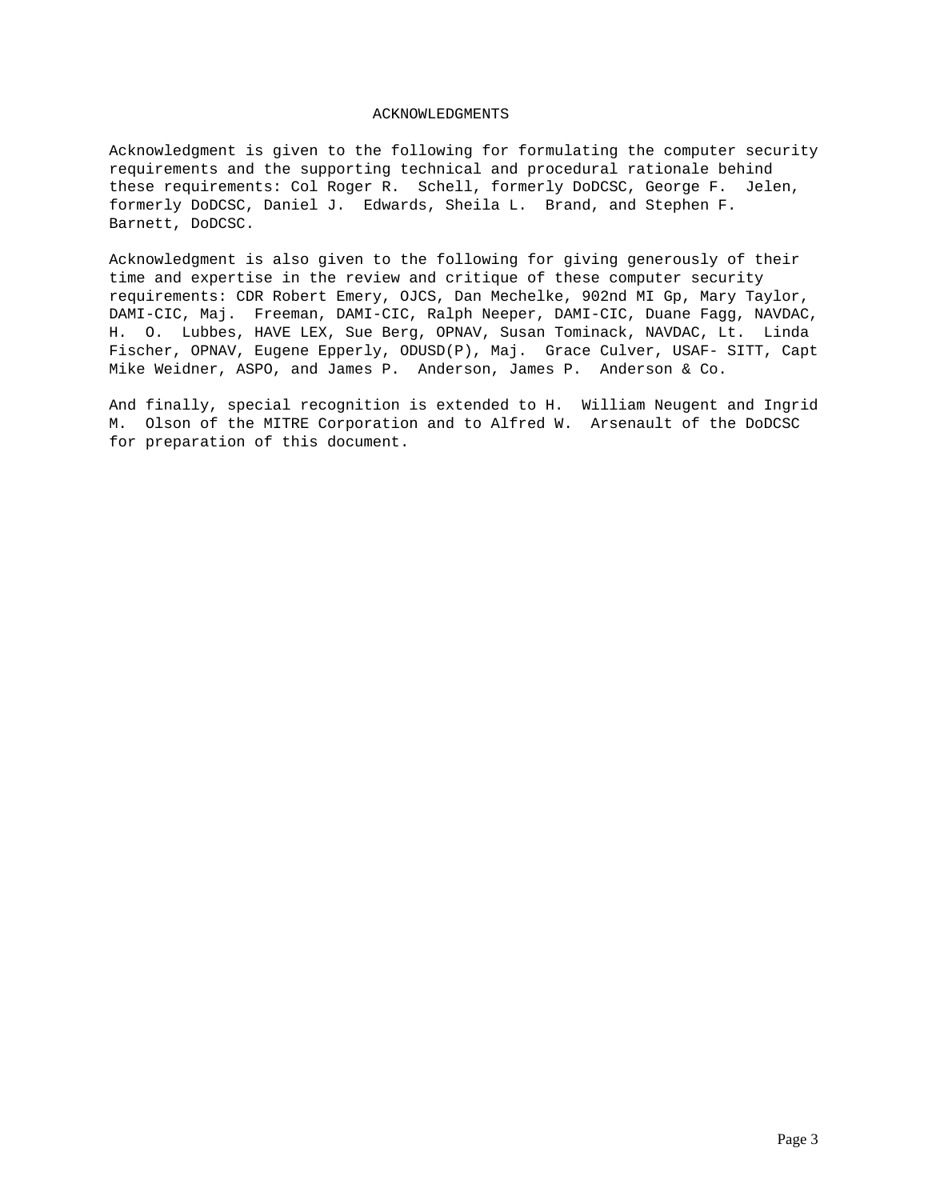#### ACKNOWLEDGMENTS

Acknowledgment is given to the following for formulating the computer security requirements and the supporting technical and procedural rationale behind these requirements: Col Roger R. Schell, formerly DoDCSC, George F. Jelen, formerly DoDCSC, Daniel J. Edwards, Sheila L. Brand, and Stephen F. Barnett, DoDCSC.

Acknowledgment is also given to the following for giving generously of their time and expertise in the review and critique of these computer security requirements: CDR Robert Emery, OJCS, Dan Mechelke, 902nd MI Gp, Mary Taylor, DAMI-CIC, Maj. Freeman, DAMI-CIC, Ralph Neeper, DAMI-CIC, Duane Fagg, NAVDAC, H. O. Lubbes, HAVE LEX, Sue Berg, OPNAV, Susan Tominack, NAVDAC, Lt. Linda Fischer, OPNAV, Eugene Epperly, ODUSD(P), Maj. Grace Culver, USAF- SITT, Capt Mike Weidner, ASPO, and James P. Anderson, James P. Anderson & Co.

And finally, special recognition is extended to H. William Neugent and Ingrid M. Olson of the MITRE Corporation and to Alfred W. Arsenault of the DoDCSC for preparation of this document.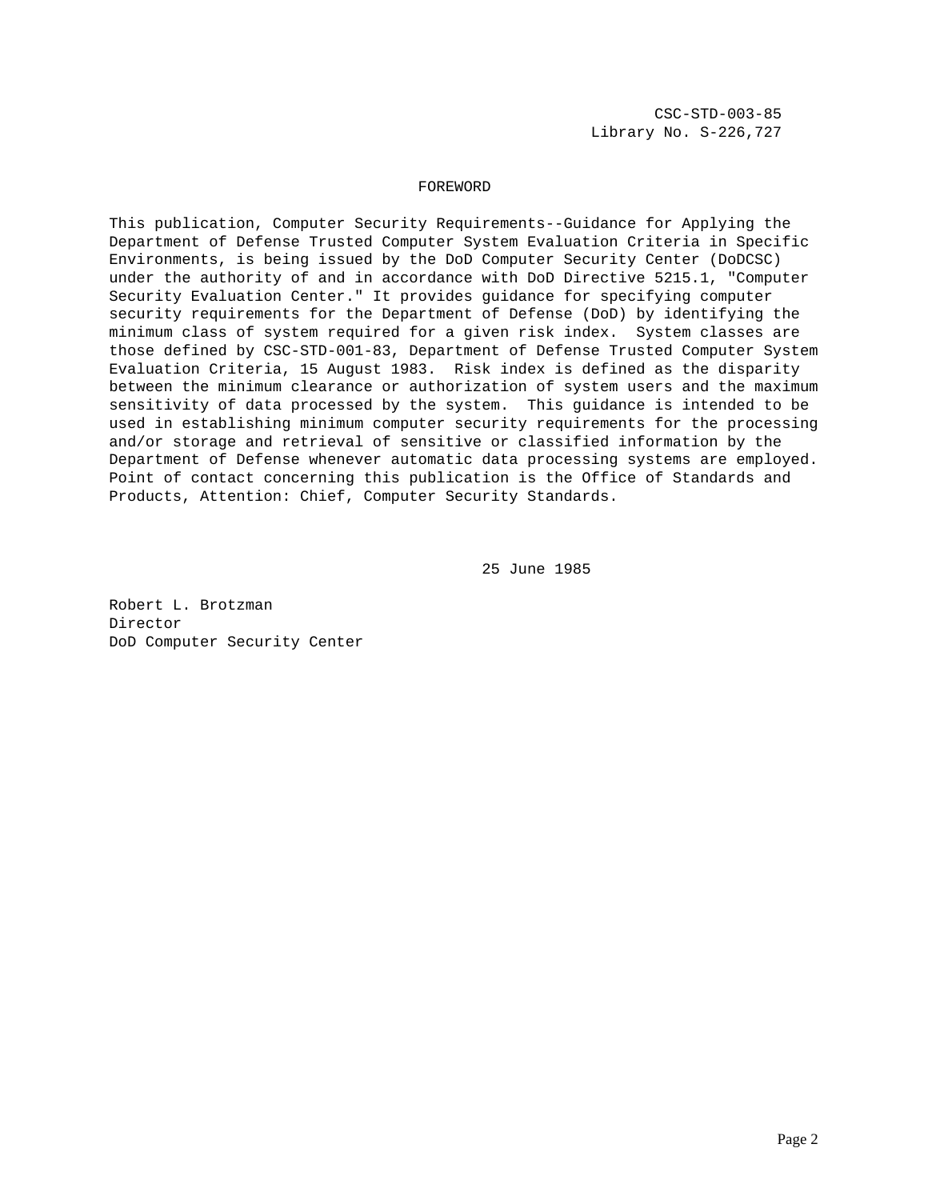CSC-STD-003-85 Library No. S-226,727

#### FOREWORD

This publication, Computer Security Requirements--Guidance for Applying the Department of Defense Trusted Computer System Evaluation Criteria in Specific Environments, is being issued by the DoD Computer Security Center (DoDCSC) under the authority of and in accordance with DoD Directive 5215.1, "Computer Security Evaluation Center." It provides guidance for specifying computer security requirements for the Department of Defense (DoD) by identifying the minimum class of system required for a given risk index. System classes are those defined by CSC-STD-001-83, Department of Defense Trusted Computer System Evaluation Criteria, 15 August 1983. Risk index is defined as the disparity between the minimum clearance or authorization of system users and the maximum sensitivity of data processed by the system. This guidance is intended to be used in establishing minimum computer security requirements for the processing and/or storage and retrieval of sensitive or classified information by the Department of Defense whenever automatic data processing systems are employed. Point of contact concerning this publication is the Office of Standards and Products, Attention: Chief, Computer Security Standards.

25 June 1985

Robert L. Brotzman Director DoD Computer Security Center